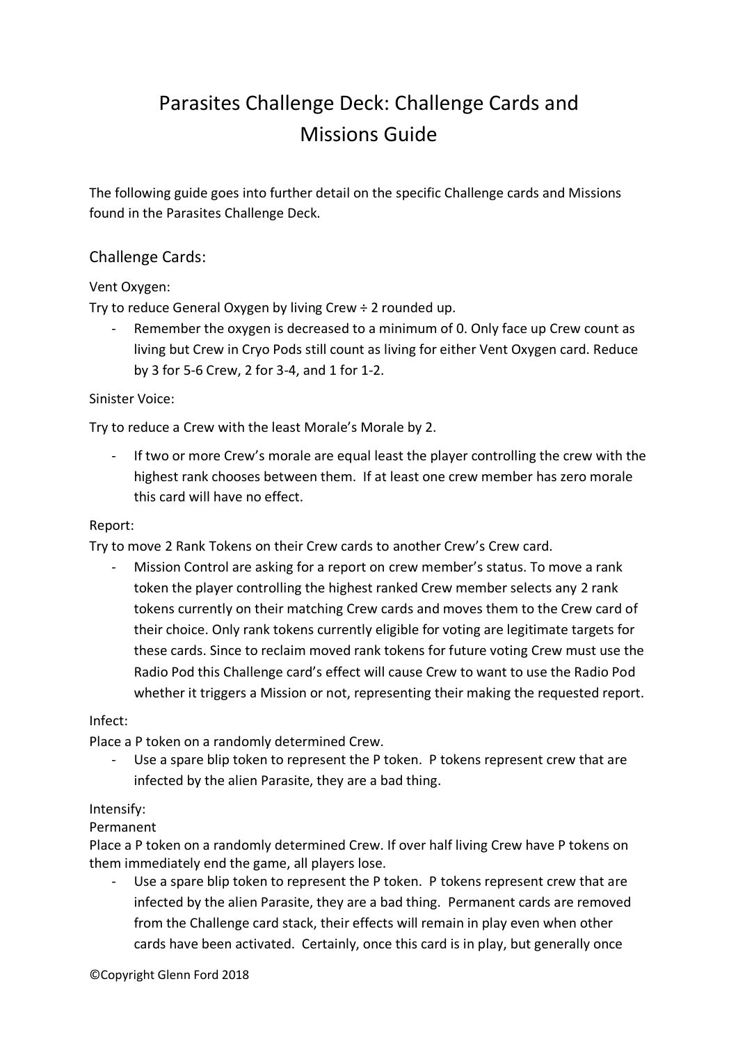# Parasites Challenge Deck: Challenge Cards and Missions Guide

The following guide goes into further detail on the specific Challenge cards and Missions found in the Parasites Challenge Deck.

# Challenge Cards:

# Vent Oxygen:

Try to reduce General Oxygen by living Crew ÷ 2 rounded up.

Remember the oxygen is decreased to a minimum of 0. Only face up Crew count as living but Crew in Cryo Pods still count as living for either Vent Oxygen card. Reduce by 3 for 5-6 Crew, 2 for 3-4, and 1 for 1-2.

## Sinister Voice:

Try to reduce a Crew with the least Morale's Morale by 2.

If two or more Crew's morale are equal least the player controlling the crew with the highest rank chooses between them. If at least one crew member has zero morale this card will have no effect.

#### Report:

Try to move 2 Rank Tokens on their Crew cards to another Crew's Crew card.

Mission Control are asking for a report on crew member's status. To move a rank token the player controlling the highest ranked Crew member selects any 2 rank tokens currently on their matching Crew cards and moves them to the Crew card of their choice. Only rank tokens currently eligible for voting are legitimate targets for these cards. Since to reclaim moved rank tokens for future voting Crew must use the Radio Pod this Challenge card's effect will cause Crew to want to use the Radio Pod whether it triggers a Mission or not, representing their making the requested report.

#### Infect:

Place a P token on a randomly determined Crew.

- Use a spare blip token to represent the P token. P tokens represent crew that are infected by the alien Parasite, they are a bad thing.

## Intensify:

## Permanent

Place a P token on a randomly determined Crew. If over half living Crew have P tokens on them immediately end the game, all players lose.

Use a spare blip token to represent the P token. P tokens represent crew that are infected by the alien Parasite, they are a bad thing. Permanent cards are removed from the Challenge card stack, their effects will remain in play even when other cards have been activated. Certainly, once this card is in play, but generally once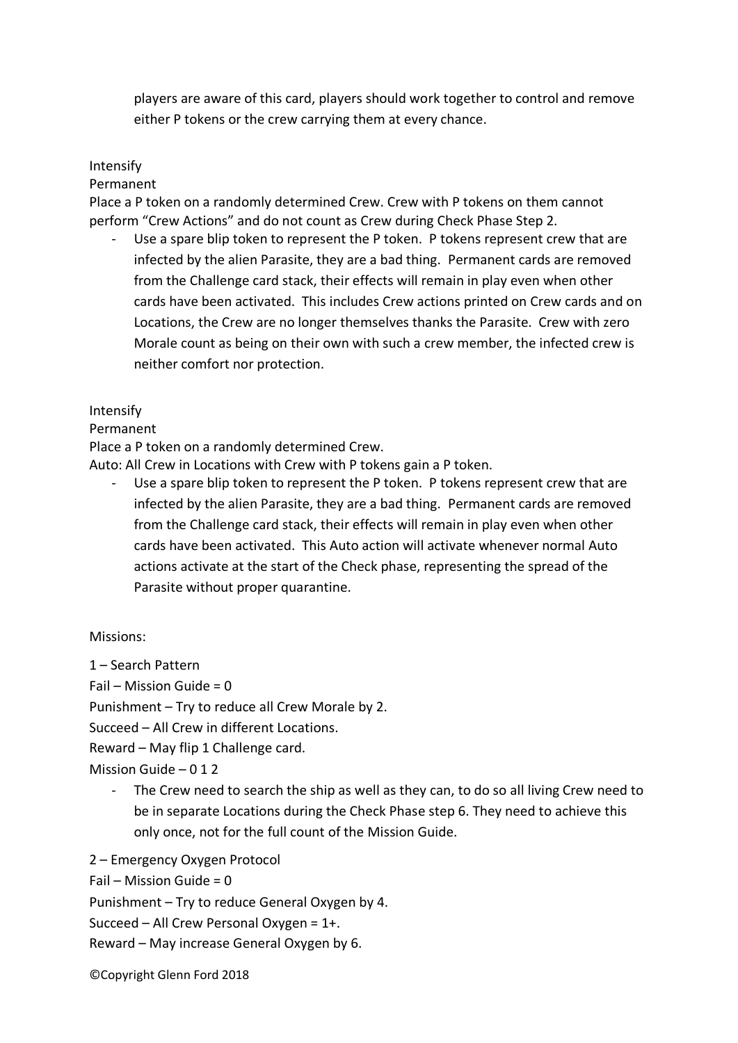players are aware of this card, players should work together to control and remove either P tokens or the crew carrying them at every chance.

## Intensify

Permanent

Place a P token on a randomly determined Crew. Crew with P tokens on them cannot perform "Crew Actions" and do not count as Crew during Check Phase Step 2.

Use a spare blip token to represent the P token. P tokens represent crew that are infected by the alien Parasite, they are a bad thing. Permanent cards are removed from the Challenge card stack, their effects will remain in play even when other cards have been activated. This includes Crew actions printed on Crew cards and on Locations, the Crew are no longer themselves thanks the Parasite. Crew with zero Morale count as being on their own with such a crew member, the infected crew is neither comfort nor protection.

#### Intensify

#### Permanent

Place a P token on a randomly determined Crew.

Auto: All Crew in Locations with Crew with P tokens gain a P token.

Use a spare blip token to represent the P token. P tokens represent crew that are infected by the alien Parasite, they are a bad thing. Permanent cards are removed from the Challenge card stack, their effects will remain in play even when other cards have been activated. This Auto action will activate whenever normal Auto actions activate at the start of the Check phase, representing the spread of the Parasite without proper quarantine.

## Missions:

1 – Search Pattern

Fail – Mission Guide =  $0$ 

Punishment – Try to reduce all Crew Morale by 2.

Succeed – All Crew in different Locations.

Reward – May flip 1 Challenge card.

Mission Guide – 0 1 2

The Crew need to search the ship as well as they can, to do so all living Crew need to be in separate Locations during the Check Phase step 6. They need to achieve this only once, not for the full count of the Mission Guide.

2 – Emergency Oxygen Protocol

Fail – Mission Guide =  $0$ 

Punishment – Try to reduce General Oxygen by 4.

Succeed – All Crew Personal Oxygen = 1+.

Reward – May increase General Oxygen by 6.

©Copyright Glenn Ford 2018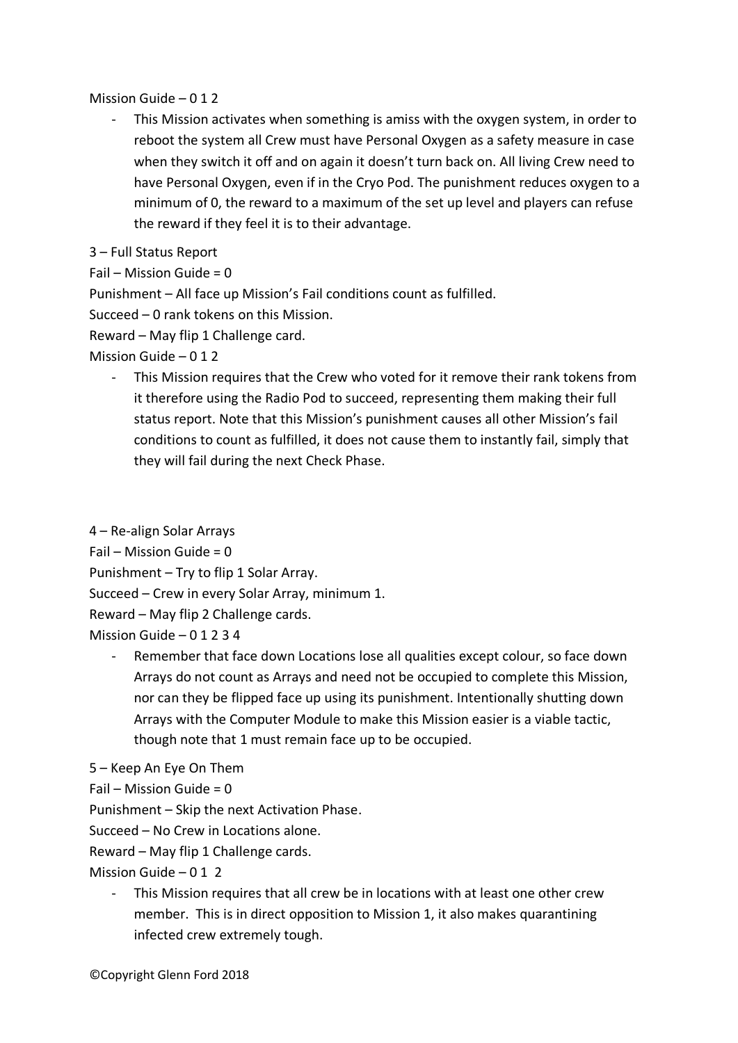## Mission Guide – 0 1 2

- This Mission activates when something is amiss with the oxygen system, in order to reboot the system all Crew must have Personal Oxygen as a safety measure in case when they switch it off and on again it doesn't turn back on. All living Crew need to have Personal Oxygen, even if in the Cryo Pod. The punishment reduces oxygen to a minimum of 0, the reward to a maximum of the set up level and players can refuse the reward if they feel it is to their advantage.
- 3 Full Status Report

Fail – Mission Guide =  $0$ 

Punishment – All face up Mission's Fail conditions count as fulfilled.

Succeed – 0 rank tokens on this Mission.

Reward – May flip 1 Challenge card.

Mission Guide – 0 1 2

- This Mission requires that the Crew who voted for it remove their rank tokens from it therefore using the Radio Pod to succeed, representing them making their full status report. Note that this Mission's punishment causes all other Mission's fail conditions to count as fulfilled, it does not cause them to instantly fail, simply that they will fail during the next Check Phase.

4 – Re-align Solar Arrays

 $Fail$  – Mission Guide = 0

Punishment – Try to flip 1 Solar Array.

Succeed – Crew in every Solar Array, minimum 1.

Reward – May flip 2 Challenge cards.

Mission Guide – 0 1 2 3 4

Remember that face down Locations lose all qualities except colour, so face down Arrays do not count as Arrays and need not be occupied to complete this Mission, nor can they be flipped face up using its punishment. Intentionally shutting down Arrays with the Computer Module to make this Mission easier is a viable tactic, though note that 1 must remain face up to be occupied.

```
5 – Keep An Eye On Them
```
Fail – Mission Guide =  $0$ 

Punishment – Skip the next Activation Phase.

Succeed – No Crew in Locations alone.

Reward – May flip 1 Challenge cards.

Mission Guide  $-012$ 

This Mission requires that all crew be in locations with at least one other crew member. This is in direct opposition to Mission 1, it also makes quarantining infected crew extremely tough.